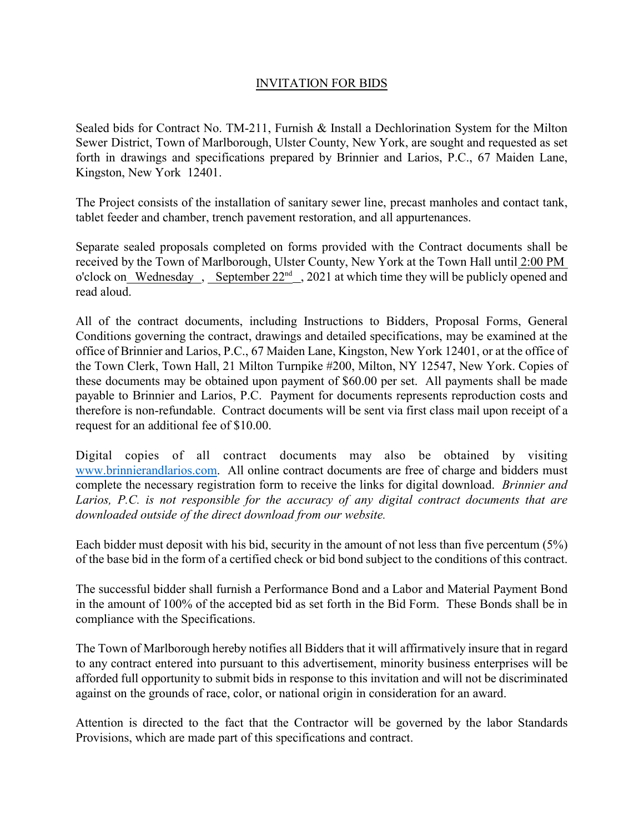## INVITATION FOR BIDS

Sealed bids for Contract No. TM-211, Furnish & Install a Dechlorination System for the Milton Sewer District, Town of Marlborough, Ulster County, New York, are sought and requested as set forth in drawings and specifications prepared by Brinnier and Larios, P.C., 67 Maiden Lane, Kingston, New York 12401.

The Project consists of the installation of sanitary sewer line, precast manholes and contact tank, tablet feeder and chamber, trench pavement restoration, and all appurtenances.

Separate sealed proposals completed on forms provided with the Contract documents shall be received by the Town of Marlborough, Ulster County, New York at the Town Hall until 2:00 PM o'clock on Wednesday, September  $22<sup>nd</sup>$ , 2021 at which time they will be publicly opened and read aloud.

All of the contract documents, including Instructions to Bidders, Proposal Forms, General Conditions governing the contract, drawings and detailed specifications, may be examined at the office of Brinnier and Larios, P.C., 67 Maiden Lane, Kingston, New York 12401, or at the office of the Town Clerk, Town Hall, 21 Milton Turnpike #200, Milton, NY 12547, New York. Copies of these documents may be obtained upon payment of \$60.00 per set. All payments shall be made payable to Brinnier and Larios, P.C. Payment for documents represents reproduction costs and therefore is non-refundable. Contract documents will be sent via first class mail upon receipt of a request for an additional fee of \$10.00.

Digital copies of all contract documents may also be obtained by visiting www.brinnierandlarios.com. All online contract documents are free of charge and bidders must complete the necessary registration form to receive the links for digital download. *Brinnier and Larios, P.C. is not responsible for the accuracy of any digital contract documents that are downloaded outside of the direct download from our website.*

Each bidder must deposit with his bid, security in the amount of not less than five percentum (5%) of the base bid in the form of a certified check or bid bond subject to the conditions of this contract.

The successful bidder shall furnish a Performance Bond and a Labor and Material Payment Bond in the amount of 100% of the accepted bid as set forth in the Bid Form. These Bonds shall be in compliance with the Specifications.

The Town of Marlborough hereby notifies all Bidders that it will affirmatively insure that in regard to any contract entered into pursuant to this advertisement, minority business enterprises will be afforded full opportunity to submit bids in response to this invitation and will not be discriminated against on the grounds of race, color, or national origin in consideration for an award.

Attention is directed to the fact that the Contractor will be governed by the labor Standards Provisions, which are made part of this specifications and contract.